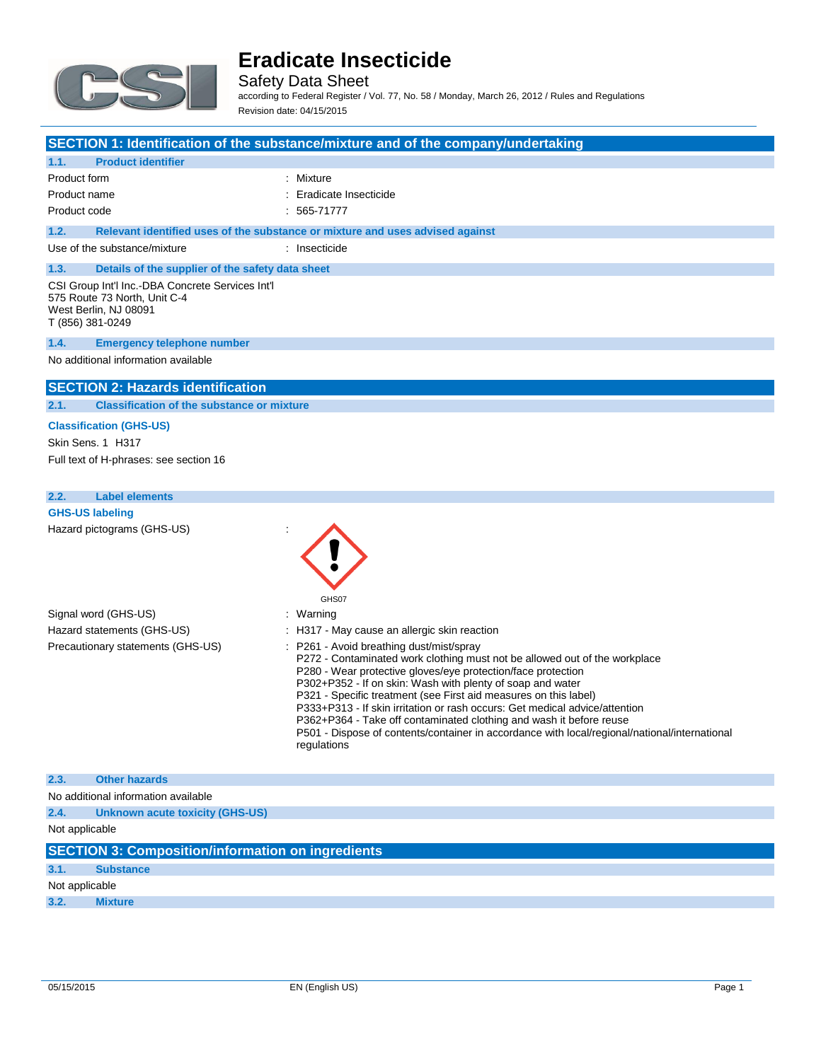

Safety Data Sheet according to Federal Register / Vol. 77, No. 58 / Monday, March 26, 2012 / Rules and Regulations Revision date: 04/15/2015

### **SECTION 1: Identification of the substance/mixture and of the company/undertaking**

| <b>Product identifier</b><br>1.1.                                                                                             |                                                                               |  |
|-------------------------------------------------------------------------------------------------------------------------------|-------------------------------------------------------------------------------|--|
| Product form                                                                                                                  | : Mixture                                                                     |  |
| Product name                                                                                                                  | : Eradicate Insecticide                                                       |  |
| Product code                                                                                                                  | $: 565-71777$                                                                 |  |
| 1.2.                                                                                                                          | Relevant identified uses of the substance or mixture and uses advised against |  |
| Use of the substance/mixture                                                                                                  | : Insecticide                                                                 |  |
| Details of the supplier of the safety data sheet<br>1.3.                                                                      |                                                                               |  |
| CSI Group Int'l Inc.-DBA Concrete Services Int'l<br>575 Route 73 North, Unit C-4<br>West Berlin, NJ 08091<br>T (856) 381-0249 |                                                                               |  |
| <b>Emergency telephone number</b><br>1.4.                                                                                     |                                                                               |  |
| No additional information available                                                                                           |                                                                               |  |
| <b>SECTION 2: Hazards identification</b>                                                                                      |                                                                               |  |

**2.1. Classification of the substance or mixture**

### **Classification (GHS-US)**

Skin Sens. 1 H317 Full text of H-phrases: see section 16

## **2.2. Label elements GHS-US labeling** Hazard pictograms (GHS-US) : GHS07 Signal word (GHS-US) : Warning Hazard statements (GHS-US) : H317 - May cause an allergic skin reaction Precautionary statements (GHS-US) : P261 - Avoid breathing dust/mist/spray P272 - Contaminated work clothing must not be allowed out of the workplace P280 - Wear protective gloves/eye protection/face protection P302+P352 - If on skin: Wash with plenty of soap and water P321 - Specific treatment (see First aid measures on this label) P333+P313 - If skin irritation or rash occurs: Get medical advice/attention P362+P364 - Take off contaminated clothing and wash it before reuse P501 - Dispose of contents/container in accordance with local/regional/national/international regulations **2.3. Other hazards** No additional information available **2.4. Unknown acute toxicity (GHS-US)** Not applicable **SECTION 3: Composition/information on ingredients**

| 3.1. | <b>Substance</b> |  |
|------|------------------|--|
|      | Not applicable   |  |
|      |                  |  |

**3.2. Mixture**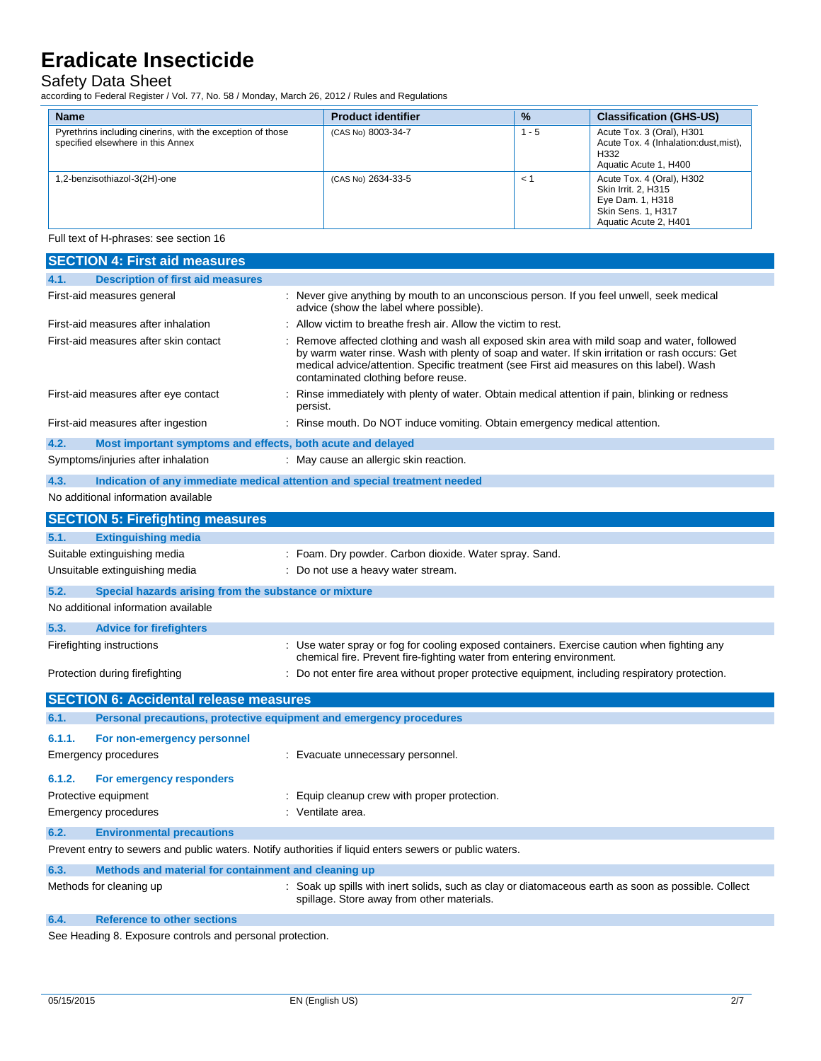### Safety Data Sheet

according to Federal Register / Vol. 77, No. 58 / Monday, March 26, 2012 / Rules and Regulations

| <b>Name</b>                                                                                     | <b>Product identifier</b> | $\frac{9}{6}$                 | <b>Classification (GHS-US)</b>                                                                                             |
|-------------------------------------------------------------------------------------------------|---------------------------|-------------------------------|----------------------------------------------------------------------------------------------------------------------------|
| Pyrethrins including cinerins, with the exception of those<br>specified elsewhere in this Annex | (CAS No) 8003-34-7        | $1 - 5$                       | Acute Tox. 3 (Oral), H301<br>Acute Tox. 4 (Inhalation: dust, mist),<br>H <sub>332</sub><br>Aquatic Acute 1, H400           |
| .2-benzisothiazol-3(2H)-one                                                                     | (CAS No) 2634-33-5        | $\prec$ $\check{\phantom{a}}$ | Acute Tox. 4 (Oral), H302<br>Skin Irrit, 2, H315<br>Eye Dam. 1, H318<br><b>Skin Sens. 1, H317</b><br>Aquatic Acute 2, H401 |

Full text of H-phrases: see section 16

| <b>SECTION 4: First aid measures</b>                                                                    |                                                                                                                                                                                                                                                                                                                                   |  |  |
|---------------------------------------------------------------------------------------------------------|-----------------------------------------------------------------------------------------------------------------------------------------------------------------------------------------------------------------------------------------------------------------------------------------------------------------------------------|--|--|
| 4.1.<br><b>Description of first aid measures</b>                                                        |                                                                                                                                                                                                                                                                                                                                   |  |  |
| First-aid measures general                                                                              | : Never give anything by mouth to an unconscious person. If you feel unwell, seek medical<br>advice (show the label where possible).                                                                                                                                                                                              |  |  |
| First-aid measures after inhalation                                                                     | : Allow victim to breathe fresh air. Allow the victim to rest.                                                                                                                                                                                                                                                                    |  |  |
| First-aid measures after skin contact                                                                   | Remove affected clothing and wash all exposed skin area with mild soap and water, followed<br>by warm water rinse. Wash with plenty of soap and water. If skin irritation or rash occurs: Get<br>medical advice/attention. Specific treatment (see First aid measures on this label). Wash<br>contaminated clothing before reuse. |  |  |
| First-aid measures after eye contact                                                                    | : Rinse immediately with plenty of water. Obtain medical attention if pain, blinking or redness<br>persist.                                                                                                                                                                                                                       |  |  |
| First-aid measures after ingestion                                                                      | : Rinse mouth. Do NOT induce vomiting. Obtain emergency medical attention.                                                                                                                                                                                                                                                        |  |  |
| 4.2.<br>Most important symptoms and effects, both acute and delayed                                     |                                                                                                                                                                                                                                                                                                                                   |  |  |
| Symptoms/injuries after inhalation                                                                      | : May cause an allergic skin reaction.                                                                                                                                                                                                                                                                                            |  |  |
| 4.3.<br>Indication of any immediate medical attention and special treatment needed                      |                                                                                                                                                                                                                                                                                                                                   |  |  |
| No additional information available                                                                     |                                                                                                                                                                                                                                                                                                                                   |  |  |
| <b>SECTION 5: Firefighting measures</b>                                                                 |                                                                                                                                                                                                                                                                                                                                   |  |  |
| 5.1.<br><b>Extinguishing media</b>                                                                      |                                                                                                                                                                                                                                                                                                                                   |  |  |
| Suitable extinguishing media                                                                            | : Foam. Dry powder. Carbon dioxide. Water spray. Sand.                                                                                                                                                                                                                                                                            |  |  |
| Unsuitable extinguishing media                                                                          | : Do not use a heavy water stream.                                                                                                                                                                                                                                                                                                |  |  |
| 5.2.<br>Special hazards arising from the substance or mixture                                           |                                                                                                                                                                                                                                                                                                                                   |  |  |
| No additional information available                                                                     |                                                                                                                                                                                                                                                                                                                                   |  |  |
| 5.3.<br><b>Advice for firefighters</b>                                                                  |                                                                                                                                                                                                                                                                                                                                   |  |  |
| Firefighting instructions                                                                               | : Use water spray or fog for cooling exposed containers. Exercise caution when fighting any<br>chemical fire. Prevent fire-fighting water from entering environment.                                                                                                                                                              |  |  |
| Protection during firefighting                                                                          | : Do not enter fire area without proper protective equipment, including respiratory protection.                                                                                                                                                                                                                                   |  |  |
| <b>SECTION 6: Accidental release measures</b>                                                           |                                                                                                                                                                                                                                                                                                                                   |  |  |
| 6.1.<br>Personal precautions, protective equipment and emergency procedures                             |                                                                                                                                                                                                                                                                                                                                   |  |  |
| 6.1.1.<br>For non-emergency personnel                                                                   |                                                                                                                                                                                                                                                                                                                                   |  |  |
| <b>Emergency procedures</b>                                                                             | : Evacuate unnecessary personnel.                                                                                                                                                                                                                                                                                                 |  |  |
| 6.1.2.<br>For emergency responders                                                                      |                                                                                                                                                                                                                                                                                                                                   |  |  |
| Protective equipment                                                                                    | : Equip cleanup crew with proper protection.                                                                                                                                                                                                                                                                                      |  |  |
| <b>Emergency procedures</b>                                                                             | : Ventilate area.                                                                                                                                                                                                                                                                                                                 |  |  |
| 6.2.<br><b>Environmental precautions</b>                                                                |                                                                                                                                                                                                                                                                                                                                   |  |  |
| Prevent entry to sewers and public waters. Notify authorities if liquid enters sewers or public waters. |                                                                                                                                                                                                                                                                                                                                   |  |  |
| 6.3.<br>Methods and material for containment and cleaning up                                            |                                                                                                                                                                                                                                                                                                                                   |  |  |
| Methods for cleaning up                                                                                 | : Soak up spills with inert solids, such as clay or diatomaceous earth as soon as possible. Collect<br>spillage. Store away from other materials.                                                                                                                                                                                 |  |  |

**6.4. Reference to other sections**

See Heading 8. Exposure controls and personal protection.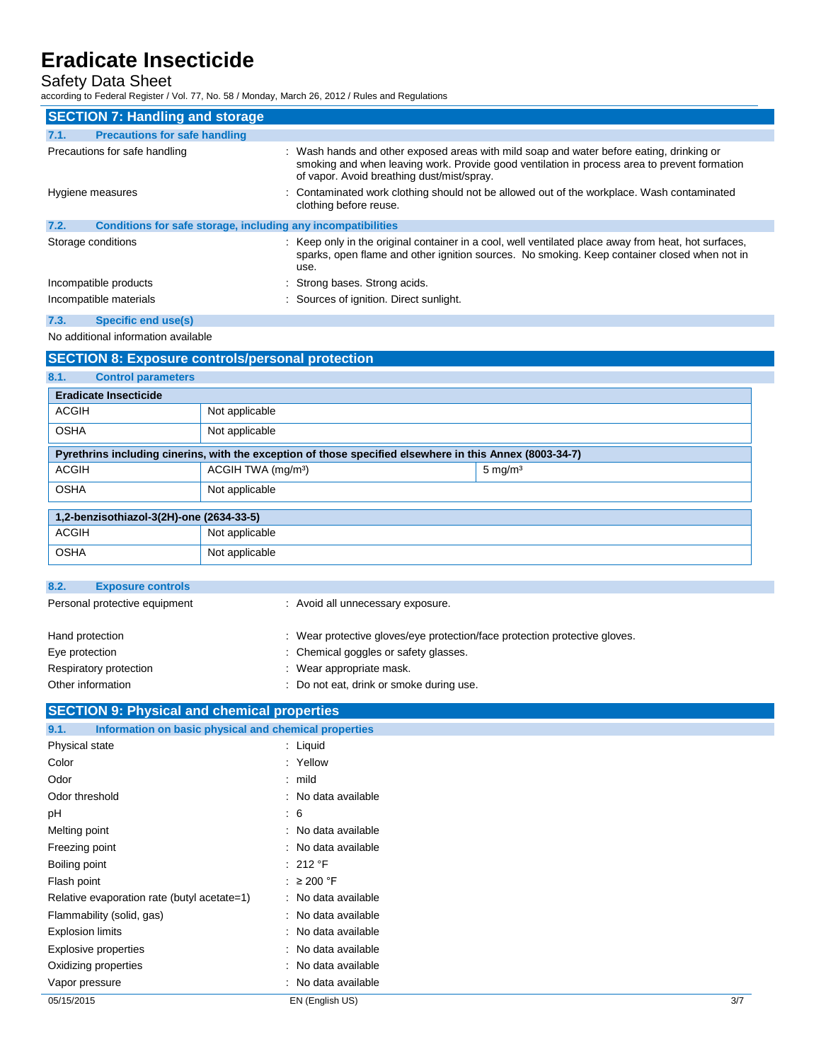### Safety Data Sheet

according to Federal Register / Vol. 77, No. 58 / Monday, March 26, 2012 / Rules and Regulations

| <b>SECTION 7: Handling and storage</b>                               |                                                                                                                                                                                                                                        |  |
|----------------------------------------------------------------------|----------------------------------------------------------------------------------------------------------------------------------------------------------------------------------------------------------------------------------------|--|
| 7.1.<br><b>Precautions for safe handling</b>                         |                                                                                                                                                                                                                                        |  |
| Precautions for safe handling                                        | : Wash hands and other exposed areas with mild soap and water before eating, drinking or<br>smoking and when leaving work. Provide good ventilation in process area to prevent formation<br>of vapor. Avoid breathing dust/mist/spray. |  |
| Hygiene measures                                                     | : Contaminated work clothing should not be allowed out of the workplace. Wash contaminated<br>clothing before reuse.                                                                                                                   |  |
| Conditions for safe storage, including any incompatibilities<br>7.2. |                                                                                                                                                                                                                                        |  |
| Storage conditions                                                   | : Keep only in the original container in a cool, well ventilated place away from heat, hot surfaces,<br>sparks, open flame and other ignition sources. No smoking. Keep container closed when not in<br>use.                           |  |
| Incompatible products                                                | : Strong bases. Strong acids.                                                                                                                                                                                                          |  |
| Incompatible materials                                               | : Sources of ignition. Direct sunlight.                                                                                                                                                                                                |  |
| 7.3.<br>Specific end use(s)                                          |                                                                                                                                                                                                                                        |  |

No additional information available

## **SECTION 8: Exposure controls/personal protection 8.1. Control parameters Eradicate Insecticide** ACGIH Not applicable OSHA Not applicable **Pyrethrins including cinerins, with the exception of those specified elsewhere in this Annex (8003-34-7)** ACGIH  $\vert$  ACGIH TWA (mg/m<sup>3</sup>) 5 mg/m<sup>3</sup> OSHA Not applicable **1,2-benzisothiazol-3(2H)-one (2634-33-5)** ACGIH Not applicable OSHA Not applicable

| 8.2.<br><b>Exposure controls</b> |  |                                                                            |
|----------------------------------|--|----------------------------------------------------------------------------|
| Personal protective equipment    |  | : Avoid all unnecessary exposure.                                          |
|                                  |  |                                                                            |
| Hand protection                  |  | : Wear protective gloves/eye protection/face protection protective gloves. |
| Eye protection                   |  | : Chemical goggles or safety glasses.                                      |
| Respiratory protection           |  | : Wear appropriate mask.                                                   |
| Other information                |  | Do not eat, drink or smoke during use.                                     |

## **SECTION 9: Physical and chemical properties**

| 9.1.<br>Information on basic physical and chemical properties |                     |     |
|---------------------------------------------------------------|---------------------|-----|
| Physical state                                                | : Liquid            |     |
| Color                                                         | : Yellow            |     |
| Odor                                                          | $:$ mild            |     |
| Odor threshold                                                | : No data available |     |
| pH                                                            | $\mathbf{.}6$       |     |
| Melting point                                                 | : No data available |     |
| Freezing point                                                | : No data available |     |
| Boiling point                                                 | : 212 °F            |     |
| Flash point                                                   | : $\geq 200$ °F     |     |
| Relative evaporation rate (butyl acetate=1)                   | : No data available |     |
| Flammability (solid, gas)                                     | : No data available |     |
| <b>Explosion limits</b>                                       | : No data available |     |
| Explosive properties                                          | : No data available |     |
| Oxidizing properties                                          | : No data available |     |
| Vapor pressure                                                | : No data available |     |
| 05/15/2015                                                    | EN (English US)     | 3/7 |
|                                                               |                     |     |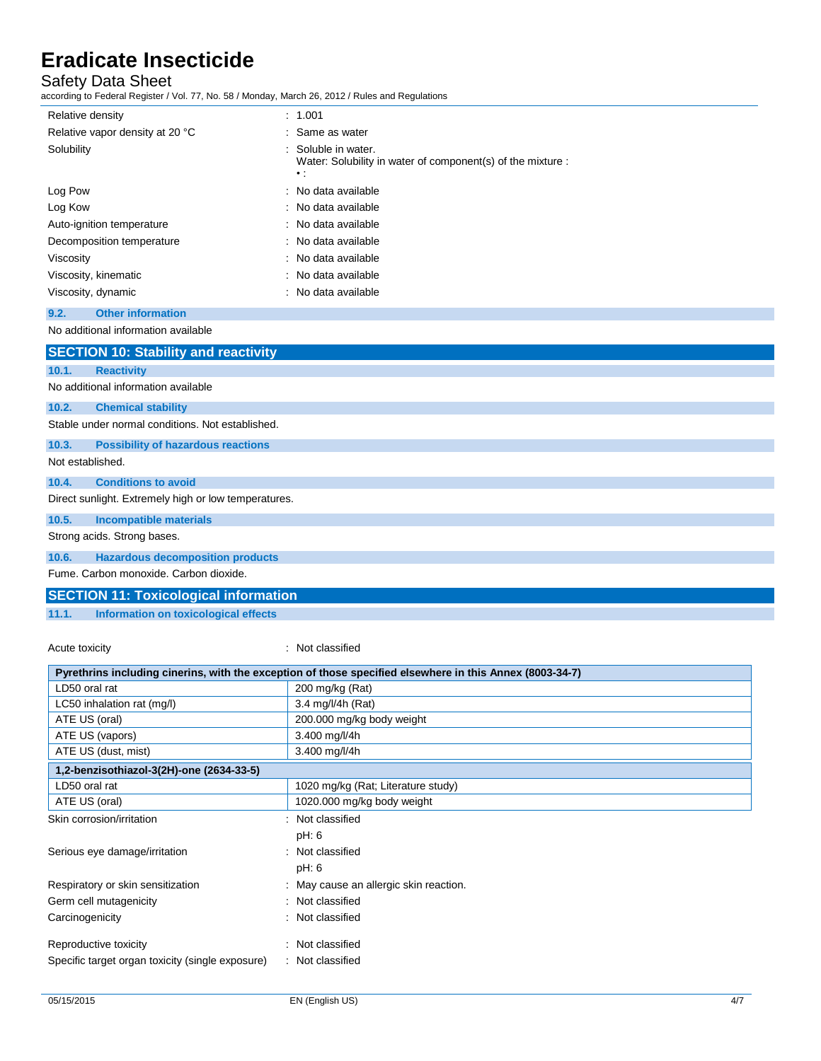### Safety Data Sheet

according to Federal Register / Vol. 77, No. 58 / Monday, March 26, 2012 / Rules and Regulations

| Relative density                            | : 1.001                                                                                         |
|---------------------------------------------|-------------------------------------------------------------------------------------------------|
| Relative vapor density at 20 °C             | : Same as water                                                                                 |
| Solubility                                  | : Soluble in water.<br>Water: Solubility in water of component(s) of the mixture :<br>$\cdot$ : |
| Log Pow                                     | : No data available                                                                             |
| Log Kow                                     | : No data available                                                                             |
| Auto-ignition temperature                   | : No data available                                                                             |
| Decomposition temperature                   | : No data available                                                                             |
| Viscosity                                   | : No data available                                                                             |
| Viscosity, kinematic                        | : No data available                                                                             |
| Viscosity, dynamic                          | : No data available                                                                             |
| <b>Other information</b><br>9.2.            |                                                                                                 |
| No additional information available         |                                                                                                 |
| <b>SECTION 10: Stability and reactivity</b> |                                                                                                 |

| 10.1.            | <b>Reactivity</b>                                    |  |  |  |
|------------------|------------------------------------------------------|--|--|--|
|                  | No additional information available                  |  |  |  |
| 10.2.            | <b>Chemical stability</b>                            |  |  |  |
|                  | Stable under normal conditions. Not established.     |  |  |  |
| 10.3.            | <b>Possibility of hazardous reactions</b>            |  |  |  |
| Not established. |                                                      |  |  |  |
| 10.4.            | <b>Conditions to avoid</b>                           |  |  |  |
|                  | Direct sunlight. Extremely high or low temperatures. |  |  |  |
| 10.5.            | <b>Incompatible materials</b>                        |  |  |  |
|                  | Strong acids. Strong bases.                          |  |  |  |
| 10.6.            | <b>Hazardous decomposition products</b>              |  |  |  |
|                  | Fume, Carbon monoxide, Carbon dioxide,               |  |  |  |
|                  | <b>SECTION 11: Toxicological information</b>         |  |  |  |

**11.1. Information on toxicological effects**

### Acute toxicity **in the case of the case of the case of the case of the case of the case of the case of the case of the case of the case of the case of the case of the case of the case of the case of the case of the case of**

| Pyrethrins including cinerins, with the exception of those specified elsewhere in this Annex (8003-34-7) |                                        |  |
|----------------------------------------------------------------------------------------------------------|----------------------------------------|--|
| LD50 oral rat                                                                                            | 200 mg/kg (Rat)                        |  |
| LC50 inhalation rat (mg/l)                                                                               | 3.4 mg/l/4h (Rat)                      |  |
| ATE US (oral)                                                                                            | 200.000 mg/kg body weight              |  |
| ATE US (vapors)                                                                                          | 3.400 mg/l/4h                          |  |
| ATE US (dust, mist)                                                                                      | 3.400 mg/l/4h                          |  |
| 1,2-benzisothiazol-3(2H)-one (2634-33-5)                                                                 |                                        |  |
| LD50 oral rat                                                                                            | 1020 mg/kg (Rat; Literature study)     |  |
| ATE US (oral)                                                                                            | 1020.000 mg/kg body weight             |  |
| Skin corrosion/irritation                                                                                | : Not classified                       |  |
|                                                                                                          | pH: 6                                  |  |
| Serious eye damage/irritation                                                                            | : Not classified                       |  |
|                                                                                                          | pH: 6                                  |  |
| Respiratory or skin sensitization                                                                        | : May cause an allergic skin reaction. |  |
| Germ cell mutagenicity                                                                                   | : Not classified                       |  |
| Carcinogenicity                                                                                          | : Not classified                       |  |
| Reproductive toxicity                                                                                    | : Not classified                       |  |
| Specific target organ toxicity (single exposure)                                                         | : Not classified                       |  |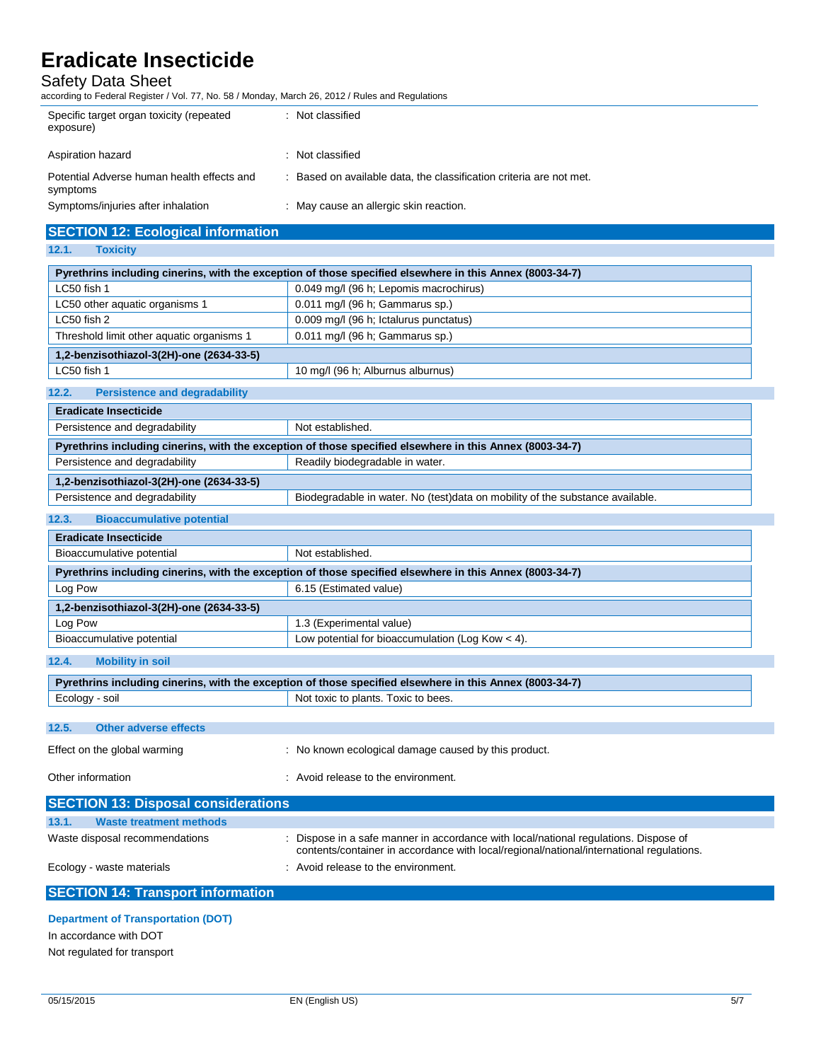### Safety Data Sheet

according to Federal Register / Vol. 77, No. 58 / Monday, March 26, 2012 / Rules and Regulations

| Specific target organ toxicity (repeated<br>exposure)  | . Not classified                                                    |
|--------------------------------------------------------|---------------------------------------------------------------------|
| Aspiration hazard                                      | : Not classified                                                    |
| Potential Adverse human health effects and<br>symptoms | : Based on available data, the classification criteria are not met. |
| Symptoms/injuries after inhalation                     | : May cause an allergic skin reaction.                              |

### **SECTION 12: Ecological information**

**12.1. Toxicity**

| Pyrethrins including cinerins, with the exception of those specified elsewhere in this Annex (8003-34-7)<br>0.049 mg/l (96 h; Lepomis macrochirus)<br>LC50 fish 1<br>0.011 mg/l (96 h; Gammarus sp.)<br>LC50 other aquatic organisms 1<br>0.009 mg/l (96 h; Ictalurus punctatus)<br>LC50 fish 2<br>Threshold limit other aquatic organisms 1<br>0.011 mg/l (96 h; Gammarus sp.)<br>1,2-benzisothiazol-3(2H)-one (2634-33-5)<br>LC50 fish 1<br>10 mg/l (96 h; Alburnus alburnus)<br><b>Persistence and degradability</b><br><b>Eradicate Insecticide</b><br>Not established.<br>Persistence and degradability<br>Pyrethrins including cinerins, with the exception of those specified elsewhere in this Annex (8003-34-7)<br>Persistence and degradability<br>Readily biodegradable in water.<br>1,2-benzisothiazol-3(2H)-one (2634-33-5)<br>Biodegradable in water. No (test)data on mobility of the substance available.<br>Persistence and degradability<br><b>Bioaccumulative potential</b><br><b>Eradicate Insecticide</b><br>Bioaccumulative potential<br>Not established.<br>Pyrethrins including cinerins, with the exception of those specified elsewhere in this Annex (8003-34-7)<br>Log Pow<br>6.15 (Estimated value)<br>1,2-benzisothiazol-3(2H)-one (2634-33-5)<br>Log Pow<br>1.3 (Experimental value)<br>Bioaccumulative potential<br>Low potential for bioaccumulation (Log Kow $<$ 4).<br><b>Mobility in soil</b><br>Pyrethrins including cinerins, with the exception of those specified elsewhere in this Annex (8003-34-7)<br>Ecology - soil<br>Not toxic to plants. Toxic to bees.<br><b>Other adverse effects</b><br>: No known ecological damage caused by this product.<br>: Avoid release to the environment.<br><b>Waste treatment methods</b><br>: Dispose in a safe manner in accordance with local/national regulations. Dispose of<br>contents/container in accordance with local/regional/national/international regulations.<br>: Avoid release to the environment.<br><b>SECTION 14: Transport information</b> | 14. L<br><b>TUAIGHY</b>                    |  |  |
|------------------------------------------------------------------------------------------------------------------------------------------------------------------------------------------------------------------------------------------------------------------------------------------------------------------------------------------------------------------------------------------------------------------------------------------------------------------------------------------------------------------------------------------------------------------------------------------------------------------------------------------------------------------------------------------------------------------------------------------------------------------------------------------------------------------------------------------------------------------------------------------------------------------------------------------------------------------------------------------------------------------------------------------------------------------------------------------------------------------------------------------------------------------------------------------------------------------------------------------------------------------------------------------------------------------------------------------------------------------------------------------------------------------------------------------------------------------------------------------------------------------------------------------------------------------------------------------------------------------------------------------------------------------------------------------------------------------------------------------------------------------------------------------------------------------------------------------------------------------------------------------------------------------------------------------------------------------------------------------------------------------------------------------------|--------------------------------------------|--|--|
|                                                                                                                                                                                                                                                                                                                                                                                                                                                                                                                                                                                                                                                                                                                                                                                                                                                                                                                                                                                                                                                                                                                                                                                                                                                                                                                                                                                                                                                                                                                                                                                                                                                                                                                                                                                                                                                                                                                                                                                                                                                |                                            |  |  |
|                                                                                                                                                                                                                                                                                                                                                                                                                                                                                                                                                                                                                                                                                                                                                                                                                                                                                                                                                                                                                                                                                                                                                                                                                                                                                                                                                                                                                                                                                                                                                                                                                                                                                                                                                                                                                                                                                                                                                                                                                                                |                                            |  |  |
|                                                                                                                                                                                                                                                                                                                                                                                                                                                                                                                                                                                                                                                                                                                                                                                                                                                                                                                                                                                                                                                                                                                                                                                                                                                                                                                                                                                                                                                                                                                                                                                                                                                                                                                                                                                                                                                                                                                                                                                                                                                |                                            |  |  |
|                                                                                                                                                                                                                                                                                                                                                                                                                                                                                                                                                                                                                                                                                                                                                                                                                                                                                                                                                                                                                                                                                                                                                                                                                                                                                                                                                                                                                                                                                                                                                                                                                                                                                                                                                                                                                                                                                                                                                                                                                                                |                                            |  |  |
|                                                                                                                                                                                                                                                                                                                                                                                                                                                                                                                                                                                                                                                                                                                                                                                                                                                                                                                                                                                                                                                                                                                                                                                                                                                                                                                                                                                                                                                                                                                                                                                                                                                                                                                                                                                                                                                                                                                                                                                                                                                |                                            |  |  |
|                                                                                                                                                                                                                                                                                                                                                                                                                                                                                                                                                                                                                                                                                                                                                                                                                                                                                                                                                                                                                                                                                                                                                                                                                                                                                                                                                                                                                                                                                                                                                                                                                                                                                                                                                                                                                                                                                                                                                                                                                                                |                                            |  |  |
|                                                                                                                                                                                                                                                                                                                                                                                                                                                                                                                                                                                                                                                                                                                                                                                                                                                                                                                                                                                                                                                                                                                                                                                                                                                                                                                                                                                                                                                                                                                                                                                                                                                                                                                                                                                                                                                                                                                                                                                                                                                |                                            |  |  |
|                                                                                                                                                                                                                                                                                                                                                                                                                                                                                                                                                                                                                                                                                                                                                                                                                                                                                                                                                                                                                                                                                                                                                                                                                                                                                                                                                                                                                                                                                                                                                                                                                                                                                                                                                                                                                                                                                                                                                                                                                                                | 12.2.                                      |  |  |
|                                                                                                                                                                                                                                                                                                                                                                                                                                                                                                                                                                                                                                                                                                                                                                                                                                                                                                                                                                                                                                                                                                                                                                                                                                                                                                                                                                                                                                                                                                                                                                                                                                                                                                                                                                                                                                                                                                                                                                                                                                                |                                            |  |  |
|                                                                                                                                                                                                                                                                                                                                                                                                                                                                                                                                                                                                                                                                                                                                                                                                                                                                                                                                                                                                                                                                                                                                                                                                                                                                                                                                                                                                                                                                                                                                                                                                                                                                                                                                                                                                                                                                                                                                                                                                                                                |                                            |  |  |
|                                                                                                                                                                                                                                                                                                                                                                                                                                                                                                                                                                                                                                                                                                                                                                                                                                                                                                                                                                                                                                                                                                                                                                                                                                                                                                                                                                                                                                                                                                                                                                                                                                                                                                                                                                                                                                                                                                                                                                                                                                                |                                            |  |  |
|                                                                                                                                                                                                                                                                                                                                                                                                                                                                                                                                                                                                                                                                                                                                                                                                                                                                                                                                                                                                                                                                                                                                                                                                                                                                                                                                                                                                                                                                                                                                                                                                                                                                                                                                                                                                                                                                                                                                                                                                                                                |                                            |  |  |
|                                                                                                                                                                                                                                                                                                                                                                                                                                                                                                                                                                                                                                                                                                                                                                                                                                                                                                                                                                                                                                                                                                                                                                                                                                                                                                                                                                                                                                                                                                                                                                                                                                                                                                                                                                                                                                                                                                                                                                                                                                                |                                            |  |  |
|                                                                                                                                                                                                                                                                                                                                                                                                                                                                                                                                                                                                                                                                                                                                                                                                                                                                                                                                                                                                                                                                                                                                                                                                                                                                                                                                                                                                                                                                                                                                                                                                                                                                                                                                                                                                                                                                                                                                                                                                                                                |                                            |  |  |
|                                                                                                                                                                                                                                                                                                                                                                                                                                                                                                                                                                                                                                                                                                                                                                                                                                                                                                                                                                                                                                                                                                                                                                                                                                                                                                                                                                                                                                                                                                                                                                                                                                                                                                                                                                                                                                                                                                                                                                                                                                                | 12.3.                                      |  |  |
|                                                                                                                                                                                                                                                                                                                                                                                                                                                                                                                                                                                                                                                                                                                                                                                                                                                                                                                                                                                                                                                                                                                                                                                                                                                                                                                                                                                                                                                                                                                                                                                                                                                                                                                                                                                                                                                                                                                                                                                                                                                |                                            |  |  |
|                                                                                                                                                                                                                                                                                                                                                                                                                                                                                                                                                                                                                                                                                                                                                                                                                                                                                                                                                                                                                                                                                                                                                                                                                                                                                                                                                                                                                                                                                                                                                                                                                                                                                                                                                                                                                                                                                                                                                                                                                                                |                                            |  |  |
|                                                                                                                                                                                                                                                                                                                                                                                                                                                                                                                                                                                                                                                                                                                                                                                                                                                                                                                                                                                                                                                                                                                                                                                                                                                                                                                                                                                                                                                                                                                                                                                                                                                                                                                                                                                                                                                                                                                                                                                                                                                |                                            |  |  |
|                                                                                                                                                                                                                                                                                                                                                                                                                                                                                                                                                                                                                                                                                                                                                                                                                                                                                                                                                                                                                                                                                                                                                                                                                                                                                                                                                                                                                                                                                                                                                                                                                                                                                                                                                                                                                                                                                                                                                                                                                                                |                                            |  |  |
|                                                                                                                                                                                                                                                                                                                                                                                                                                                                                                                                                                                                                                                                                                                                                                                                                                                                                                                                                                                                                                                                                                                                                                                                                                                                                                                                                                                                                                                                                                                                                                                                                                                                                                                                                                                                                                                                                                                                                                                                                                                |                                            |  |  |
|                                                                                                                                                                                                                                                                                                                                                                                                                                                                                                                                                                                                                                                                                                                                                                                                                                                                                                                                                                                                                                                                                                                                                                                                                                                                                                                                                                                                                                                                                                                                                                                                                                                                                                                                                                                                                                                                                                                                                                                                                                                |                                            |  |  |
|                                                                                                                                                                                                                                                                                                                                                                                                                                                                                                                                                                                                                                                                                                                                                                                                                                                                                                                                                                                                                                                                                                                                                                                                                                                                                                                                                                                                                                                                                                                                                                                                                                                                                                                                                                                                                                                                                                                                                                                                                                                |                                            |  |  |
|                                                                                                                                                                                                                                                                                                                                                                                                                                                                                                                                                                                                                                                                                                                                                                                                                                                                                                                                                                                                                                                                                                                                                                                                                                                                                                                                                                                                                                                                                                                                                                                                                                                                                                                                                                                                                                                                                                                                                                                                                                                | 12.4.                                      |  |  |
|                                                                                                                                                                                                                                                                                                                                                                                                                                                                                                                                                                                                                                                                                                                                                                                                                                                                                                                                                                                                                                                                                                                                                                                                                                                                                                                                                                                                                                                                                                                                                                                                                                                                                                                                                                                                                                                                                                                                                                                                                                                |                                            |  |  |
|                                                                                                                                                                                                                                                                                                                                                                                                                                                                                                                                                                                                                                                                                                                                                                                                                                                                                                                                                                                                                                                                                                                                                                                                                                                                                                                                                                                                                                                                                                                                                                                                                                                                                                                                                                                                                                                                                                                                                                                                                                                |                                            |  |  |
|                                                                                                                                                                                                                                                                                                                                                                                                                                                                                                                                                                                                                                                                                                                                                                                                                                                                                                                                                                                                                                                                                                                                                                                                                                                                                                                                                                                                                                                                                                                                                                                                                                                                                                                                                                                                                                                                                                                                                                                                                                                |                                            |  |  |
|                                                                                                                                                                                                                                                                                                                                                                                                                                                                                                                                                                                                                                                                                                                                                                                                                                                                                                                                                                                                                                                                                                                                                                                                                                                                                                                                                                                                                                                                                                                                                                                                                                                                                                                                                                                                                                                                                                                                                                                                                                                | 12.5.                                      |  |  |
|                                                                                                                                                                                                                                                                                                                                                                                                                                                                                                                                                                                                                                                                                                                                                                                                                                                                                                                                                                                                                                                                                                                                                                                                                                                                                                                                                                                                                                                                                                                                                                                                                                                                                                                                                                                                                                                                                                                                                                                                                                                | Effect on the global warming               |  |  |
|                                                                                                                                                                                                                                                                                                                                                                                                                                                                                                                                                                                                                                                                                                                                                                                                                                                                                                                                                                                                                                                                                                                                                                                                                                                                                                                                                                                                                                                                                                                                                                                                                                                                                                                                                                                                                                                                                                                                                                                                                                                | Other information                          |  |  |
|                                                                                                                                                                                                                                                                                                                                                                                                                                                                                                                                                                                                                                                                                                                                                                                                                                                                                                                                                                                                                                                                                                                                                                                                                                                                                                                                                                                                                                                                                                                                                                                                                                                                                                                                                                                                                                                                                                                                                                                                                                                | <b>SECTION 13: Disposal considerations</b> |  |  |
|                                                                                                                                                                                                                                                                                                                                                                                                                                                                                                                                                                                                                                                                                                                                                                                                                                                                                                                                                                                                                                                                                                                                                                                                                                                                                                                                                                                                                                                                                                                                                                                                                                                                                                                                                                                                                                                                                                                                                                                                                                                | 13.1.                                      |  |  |
|                                                                                                                                                                                                                                                                                                                                                                                                                                                                                                                                                                                                                                                                                                                                                                                                                                                                                                                                                                                                                                                                                                                                                                                                                                                                                                                                                                                                                                                                                                                                                                                                                                                                                                                                                                                                                                                                                                                                                                                                                                                | Waste disposal recommendations             |  |  |
|                                                                                                                                                                                                                                                                                                                                                                                                                                                                                                                                                                                                                                                                                                                                                                                                                                                                                                                                                                                                                                                                                                                                                                                                                                                                                                                                                                                                                                                                                                                                                                                                                                                                                                                                                                                                                                                                                                                                                                                                                                                | Ecology - waste materials                  |  |  |
|                                                                                                                                                                                                                                                                                                                                                                                                                                                                                                                                                                                                                                                                                                                                                                                                                                                                                                                                                                                                                                                                                                                                                                                                                                                                                                                                                                                                                                                                                                                                                                                                                                                                                                                                                                                                                                                                                                                                                                                                                                                |                                            |  |  |

### **Department of Transportation (DOT)**

In accordance with DOT Not regulated for transport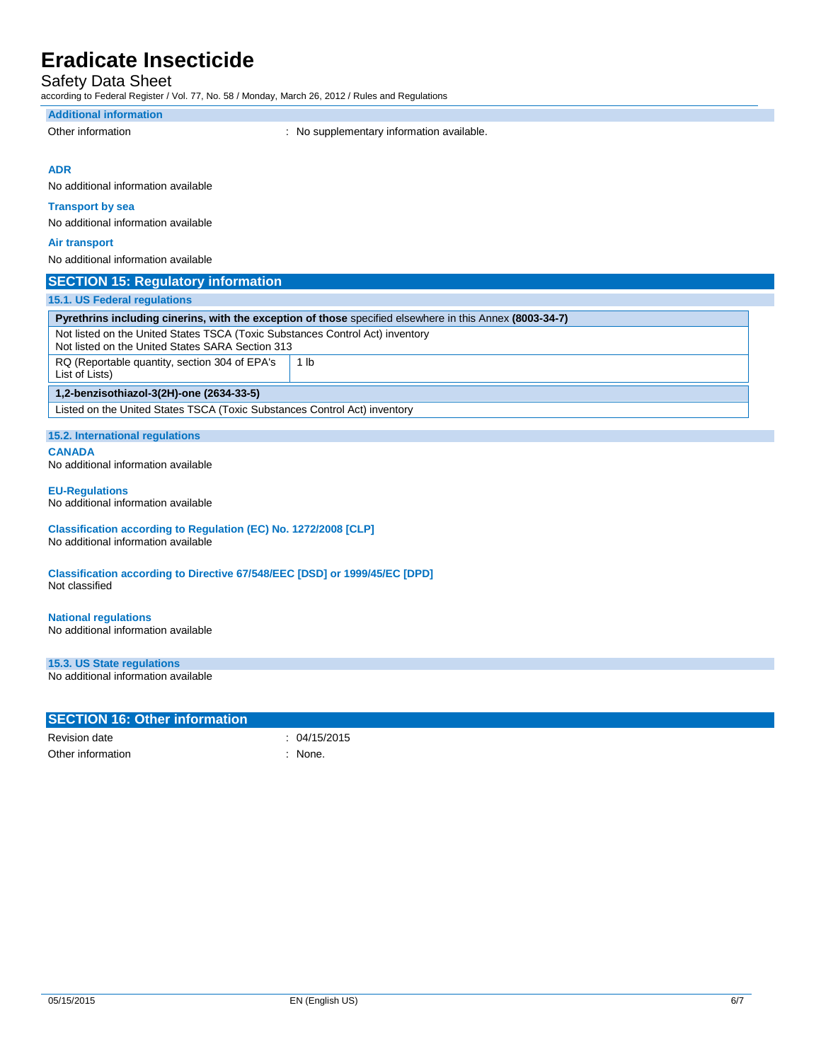## Safety Data Sheet

according to Federal Register / Vol. 77, No. 58 / Monday, March 26, 2012 / Rules and Regulations

#### **Additional information**

Other information **contains the container of the container**  $\cdot$  No supplementary information available.

#### **ADR**

No additional information available

### **Transport by sea**

No additional information available

#### **Air transport**

No additional information available

### **SECTION 15: Regulatory information**

#### **15.1. US Federal regulations**

| 15.1. US Federal regulations                                                                                                      |      |  |  |
|-----------------------------------------------------------------------------------------------------------------------------------|------|--|--|
| <b>Pyrethrins including cinerins, with the exception of those</b> specified elsewhere in this Annex (8003-34-7)                   |      |  |  |
| Not listed on the United States TSCA (Toxic Substances Control Act) inventory<br>Not listed on the United States SARA Section 313 |      |  |  |
| RQ (Reportable quantity, section 304 of EPA's<br>List of Lists)                                                                   | 1 lb |  |  |
| 1,2-benzisothiazol-3(2H)-one (2634-33-5)                                                                                          |      |  |  |
| Listed on the United States TSCA (Toxic Substances Control Act) inventory                                                         |      |  |  |
|                                                                                                                                   |      |  |  |

### **15.2. International regulations**

**CANADA**

No additional information available

#### **EU-Regulations**

No additional information available

#### **Classification according to Regulation (EC) No. 1272/2008 [CLP]** No additional information available

**Classification according to Directive 67/548/EEC [DSD] or 1999/45/EC [DPD]** Not classified

### **National regulations**

No additional information available

### **15.3. US State regulations**

No additional information available

| <b>SECTION 16: Other information</b> |              |
|--------------------------------------|--------------|
| Revision date                        | : 04/15/2015 |
| Other information                    | None.        |